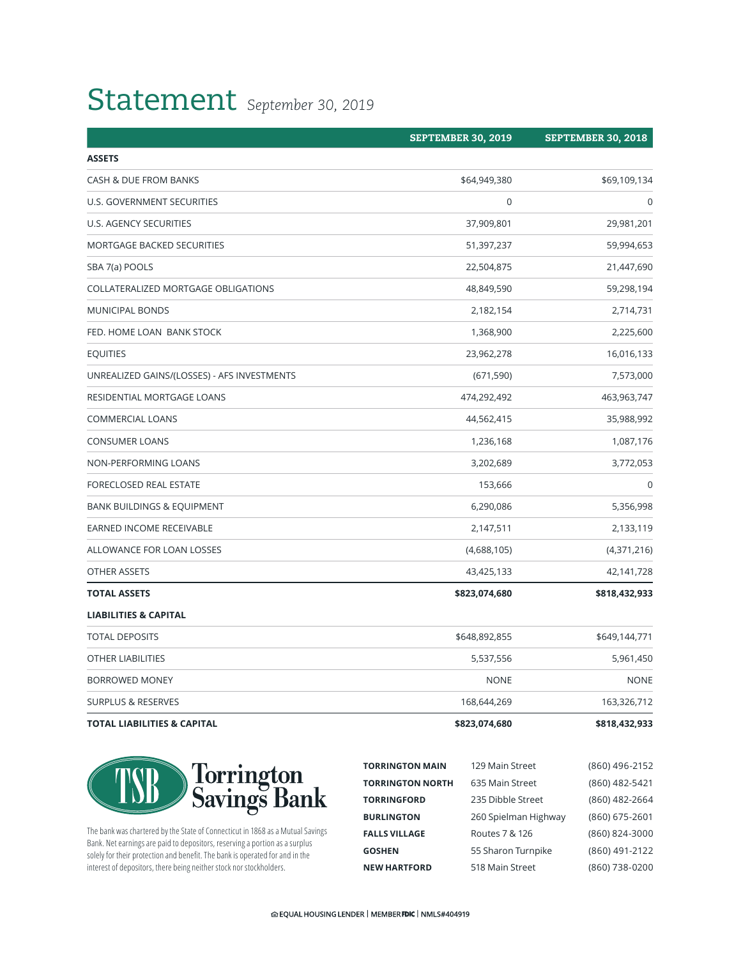# Statement *September 30, 2019*

|                                             | <b>SEPTEMBER 30, 2019</b> | <b>SEPTEMBER 30, 2018</b> |
|---------------------------------------------|---------------------------|---------------------------|
| <b>ASSETS</b>                               |                           |                           |
| CASH & DUE FROM BANKS                       | \$64,949,380              | \$69,109,134              |
| U.S. GOVERNMENT SECURITIES                  | $\boldsymbol{0}$          | 0                         |
| U.S. AGENCY SECURITIES                      | 37,909,801                | 29,981,201                |
| MORTGAGE BACKED SECURITIES                  | 51,397,237                | 59,994,653                |
| SBA 7(a) POOLS                              | 22,504,875                | 21,447,690                |
| COLLATERALIZED MORTGAGE OBLIGATIONS         | 48,849,590                | 59,298,194                |
| <b>MUNICIPAL BONDS</b>                      | 2,182,154                 | 2,714,731                 |
| FED. HOME LOAN BANK STOCK                   | 1,368,900                 | 2,225,600                 |
| <b>EQUITIES</b>                             | 23,962,278                | 16,016,133                |
| UNREALIZED GAINS/(LOSSES) - AFS INVESTMENTS | (671, 590)                | 7,573,000                 |
| RESIDENTIAL MORTGAGE LOANS                  | 474,292,492               | 463,963,747               |
| <b>COMMERCIAL LOANS</b>                     | 44,562,415                | 35,988,992                |
| <b>CONSUMER LOANS</b>                       | 1,236,168                 | 1,087,176                 |
| <b>NON-PERFORMING LOANS</b>                 | 3,202,689                 | 3,772,053                 |
| FORECLOSED REAL ESTATE                      | 153,666                   | $\mathbf 0$               |
| <b>BANK BUILDINGS &amp; EQUIPMENT</b>       | 6,290,086                 | 5,356,998                 |
| EARNED INCOME RECEIVABLE                    | 2,147,511                 | 2,133,119                 |
| ALLOWANCE FOR LOAN LOSSES                   | (4,688,105)               | (4,371,216)               |
| OTHER ASSETS                                | 43,425,133                | 42,141,728                |
| <b>TOTAL ASSETS</b>                         | \$823,074,680             | \$818,432,933             |
| <b>LIABILITIES &amp; CAPITAL</b>            |                           |                           |
| <b>TOTAL DEPOSITS</b>                       | \$648,892,855             | \$649,144,771             |
| <b>OTHER LIABILITIES</b>                    | 5,537,556                 | 5,961,450                 |
| BORROWED MONEY                              | <b>NONE</b>               | <b>NONE</b>               |
| <b>SURPLUS &amp; RESERVES</b>               | 168,644,269               | 163,326,712               |
| <b>TOTAL LIABILITIES &amp; CAPITAL</b>      | \$823,074,680             | \$818,432,933             |





The bank was chartered by the State of Connecticut in 1868 as a Mutual Savings Bank. Net earnings are paid to depositors, reserving a portion as a surplus solely for their protection and benefit. The bank is operated for and in the interest of depositors, there being neither stock nor stockholders.

| <b>TORRINGTON MAIN</b>  | 129 Main Street      | (860) 496-2152 |
|-------------------------|----------------------|----------------|
| <b>TORRINGTON NORTH</b> | 635 Main Street      | (860) 482-5421 |
| <b>TORRINGFORD</b>      | 235 Dibble Street    | (860) 482-2664 |
| <b>BURLINGTON</b>       | 260 Spielman Highway | (860) 675-2601 |
| <b>FALLS VILLAGE</b>    | Routes 7 & 126       | (860) 824-3000 |
| <b>GOSHEN</b>           | 55 Sharon Turnpike   | (860) 491-2122 |
| <b>NEW HARTFORD</b>     | 518 Main Street      | (860) 738-0200 |